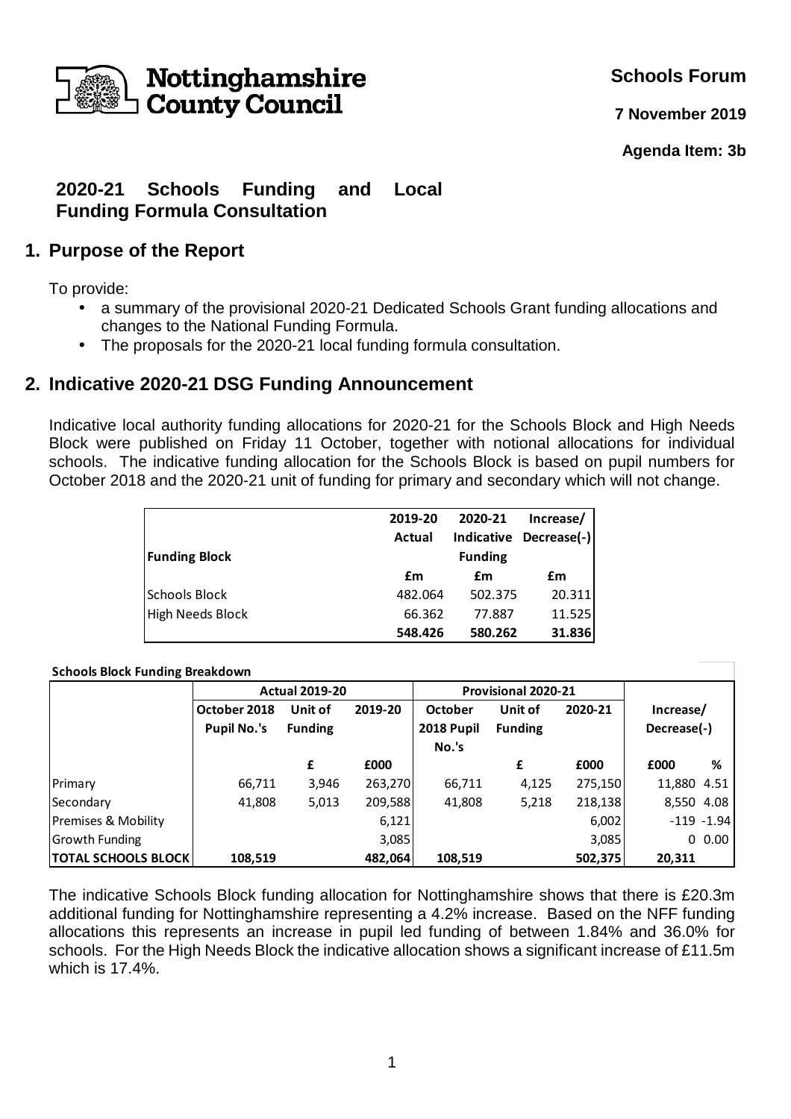

**Schools Forum**

**7 November 2019**

**Agenda Item: 3b**

# **2020-21 Schools Funding and Local Funding Formula Consultation**

## **1. Purpose of the Report**

To provide:

- a summary of the provisional 2020-21 Dedicated Schools Grant funding allocations and changes to the National Funding Formula.
- The proposals for the 2020-21 local funding formula consultation.

## **2. Indicative 2020-21 DSG Funding Announcement**

Indicative local authority funding allocations for 2020-21 for the Schools Block and High Needs Block were published on Friday 11 October, together with notional allocations for individual schools. The indicative funding allocation for the Schools Block is based on pupil numbers for October 2018 and the 2020-21 unit of funding for primary and secondary which will not change.

|                      | 2019-20 | 2020-21        | Increase/   |  |  |
|----------------------|---------|----------------|-------------|--|--|
|                      | Actual  | Indicative     | Decrease(-) |  |  |
| <b>Funding Block</b> |         | <b>Funding</b> |             |  |  |
|                      | £m      | £m             | £m          |  |  |
| <b>Schools Block</b> | 482.064 | 502.375        | 20.311      |  |  |
| High Needs Block     | 66.362  | 77.887         | 11.525      |  |  |
|                      | 548.426 | 580.262        | 31.836      |  |  |

#### **Schools Block Funding Breakdown**

|                            |                    | <b>Actual 2019-20</b> |         |                     | <b>Provisional 2020-21</b> |         |               |           |
|----------------------------|--------------------|-----------------------|---------|---------------------|----------------------------|---------|---------------|-----------|
|                            | October 2018       | Unit of               | 2019-20 | <b>October</b>      | Unit of                    | 2020-21 | Increase/     |           |
|                            | <b>Pupil No.'s</b> | <b>Funding</b>        |         | 2018 Pupil<br>No.'s | <b>Funding</b>             |         | Decrease(-)   |           |
|                            |                    | £                     | £000    |                     | £                          | £000    | £000          | %         |
| Primary                    | 66,711             | 3,946                 | 263,270 | 66,711              | 4,125                      | 275,150 | 11,880        | 4.51      |
| Secondary                  | 41,808             | 5,013                 | 209,588 | 41,808              | 5,218                      | 218,138 | 8,550 4.08    |           |
| Premises & Mobility        |                    |                       | 6,121   |                     |                            | 6,002   | $-119 - 1.94$ |           |
| <b>Growth Funding</b>      |                    |                       | 3,085   |                     |                            | 3,085   |               | $0\,0.00$ |
| <b>TOTAL SCHOOLS BLOCK</b> | 108,519            |                       | 482,064 | 108,519             |                            | 502,375 | 20,311        |           |

The indicative Schools Block funding allocation for Nottinghamshire shows that there is £20.3m additional funding for Nottinghamshire representing a 4.2% increase. Based on the NFF funding allocations this represents an increase in pupil led funding of between 1.84% and 36.0% for schools. For the High Needs Block the indicative allocation shows a significant increase of £11.5m which is 17.4%.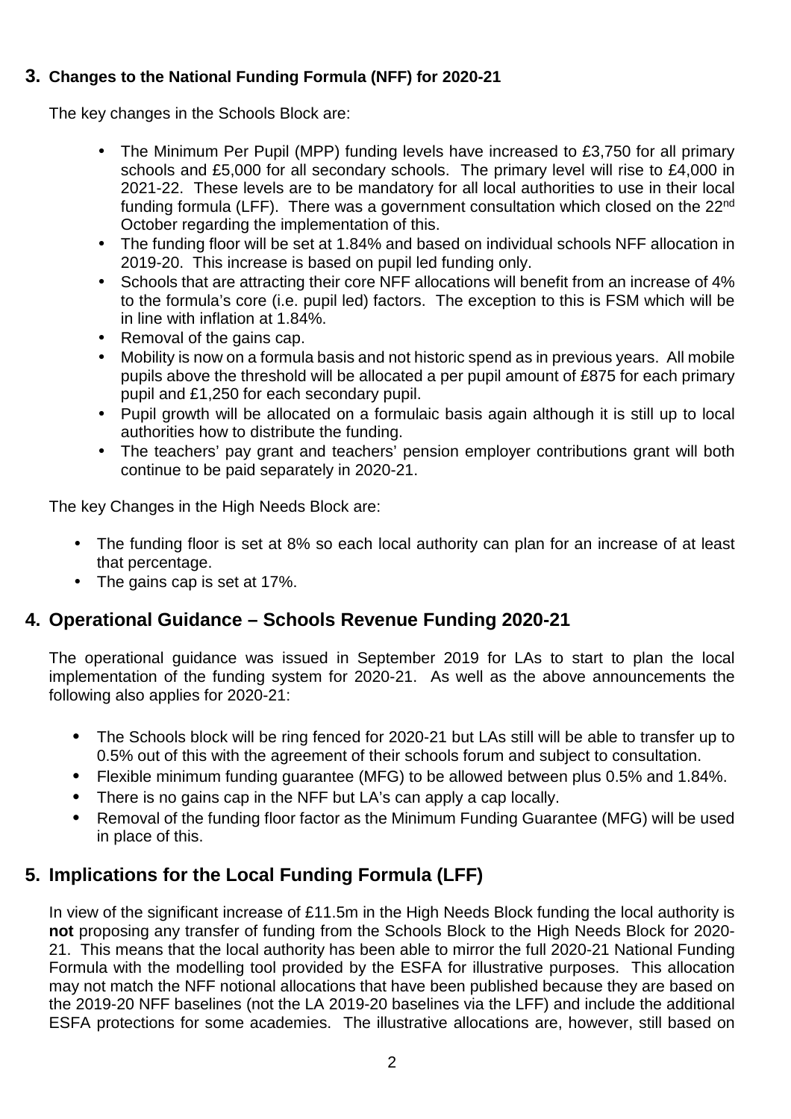## **3. Changes to the National Funding Formula (NFF) for 2020-21**

The key changes in the Schools Block are:

- The Minimum Per Pupil (MPP) funding levels have increased to £3,750 for all primary schools and £5,000 for all secondary schools. The primary level will rise to £4,000 in 2021-22. These levels are to be mandatory for all local authorities to use in their local funding formula (LFF). There was a government consultation which closed on the 22<sup>nd</sup> October regarding the implementation of this.
- The funding floor will be set at 1.84% and based on individual schools NFF allocation in 2019-20. This increase is based on pupil led funding only.
- Schools that are attracting their core NFF allocations will benefit from an increase of 4% to the formula's core (i.e. pupil led) factors. The exception to this is FSM which will be in line with inflation at 1.84%.
- Removal of the gains cap.
- Mobility is now on a formula basis and not historic spend as in previous years. All mobile pupils above the threshold will be allocated a per pupil amount of £875 for each primary pupil and £1,250 for each secondary pupil.
- Pupil growth will be allocated on a formulaic basis again although it is still up to local authorities how to distribute the funding.
- The teachers' pay grant and teachers' pension employer contributions grant will both continue to be paid separately in 2020-21.

The key Changes in the High Needs Block are:

- The funding floor is set at 8% so each local authority can plan for an increase of at least that percentage.
- The gains cap is set at 17%.

# **4. Operational Guidance – Schools Revenue Funding 2020-21**

The operational guidance was issued in September 2019 for LAs to start to plan the local implementation of the funding system for 2020-21. As well as the above announcements the following also applies for 2020-21:

- The Schools block will be ring fenced for 2020-21 but LAs still will be able to transfer up to 0.5% out of this with the agreement of their schools forum and subject to consultation.
- Flexible minimum funding guarantee (MFG) to be allowed between plus 0.5% and 1.84%.
- There is no gains cap in the NFF but LA's can apply a cap locally.
- Removal of the funding floor factor as the Minimum Funding Guarantee (MFG) will be used in place of this.

# **5. Implications for the Local Funding Formula (LFF)**

In view of the significant increase of £11.5m in the High Needs Block funding the local authority is **not** proposing any transfer of funding from the Schools Block to the High Needs Block for 2020- 21. This means that the local authority has been able to mirror the full 2020-21 National Funding Formula with the modelling tool provided by the ESFA for illustrative purposes. This allocation may not match the NFF notional allocations that have been published because they are based on the 2019-20 NFF baselines (not the LA 2019-20 baselines via the LFF) and include the additional ESFA protections for some academies. The illustrative allocations are, however, still based on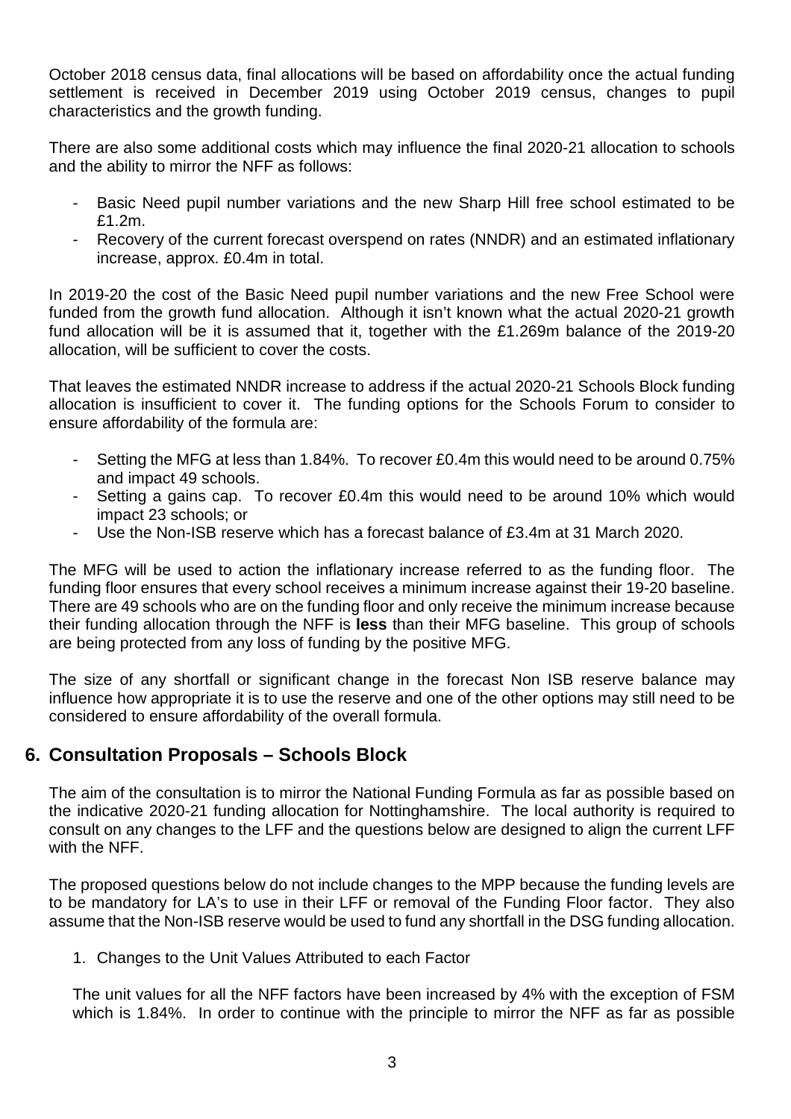October 2018 census data, final allocations will be based on affordability once the actual funding settlement is received in December 2019 using October 2019 census, changes to pupil characteristics and the growth funding.

There are also some additional costs which may influence the final 2020-21 allocation to schools and the ability to mirror the NFF as follows:

- Basic Need pupil number variations and the new Sharp Hill free school estimated to be £1.2m.
- Recovery of the current forecast overspend on rates (NNDR) and an estimated inflationary increase, approx. £0.4m in total.

In 2019-20 the cost of the Basic Need pupil number variations and the new Free School were funded from the growth fund allocation. Although it isn't known what the actual 2020-21 growth fund allocation will be it is assumed that it, together with the £1.269m balance of the 2019-20 allocation, will be sufficient to cover the costs.

That leaves the estimated NNDR increase to address if the actual 2020-21 Schools Block funding allocation is insufficient to cover it. The funding options for the Schools Forum to consider to ensure affordability of the formula are:

- Setting the MFG at less than 1.84%. To recover £0.4m this would need to be around 0.75% and impact 49 schools.
- Setting a gains cap. To recover £0.4m this would need to be around 10% which would impact 23 schools; or
- Use the Non-ISB reserve which has a forecast balance of £3.4m at 31 March 2020.

The MFG will be used to action the inflationary increase referred to as the funding floor. The funding floor ensures that every school receives a minimum increase against their 19-20 baseline. There are 49 schools who are on the funding floor and only receive the minimum increase because their funding allocation through the NFF is **less** than their MFG baseline. This group of schools are being protected from any loss of funding by the positive MFG.

The size of any shortfall or significant change in the forecast Non ISB reserve balance may influence how appropriate it is to use the reserve and one of the other options may still need to be considered to ensure affordability of the overall formula.

#### **6. Consultation Proposals – Schools Block**

The aim of the consultation is to mirror the National Funding Formula as far as possible based on the indicative 2020-21 funding allocation for Nottinghamshire. The local authority is required to consult on any changes to the LFF and the questions below are designed to align the current LFF with the NFF.

The proposed questions below do not include changes to the MPP because the funding levels are to be mandatory for LA's to use in their LFF or removal of the Funding Floor factor. They also assume that the Non-ISB reserve would be used to fund any shortfall in the DSG funding allocation.

1. Changes to the Unit Values Attributed to each Factor

The unit values for all the NFF factors have been increased by 4% with the exception of FSM which is 1.84%. In order to continue with the principle to mirror the NFF as far as possible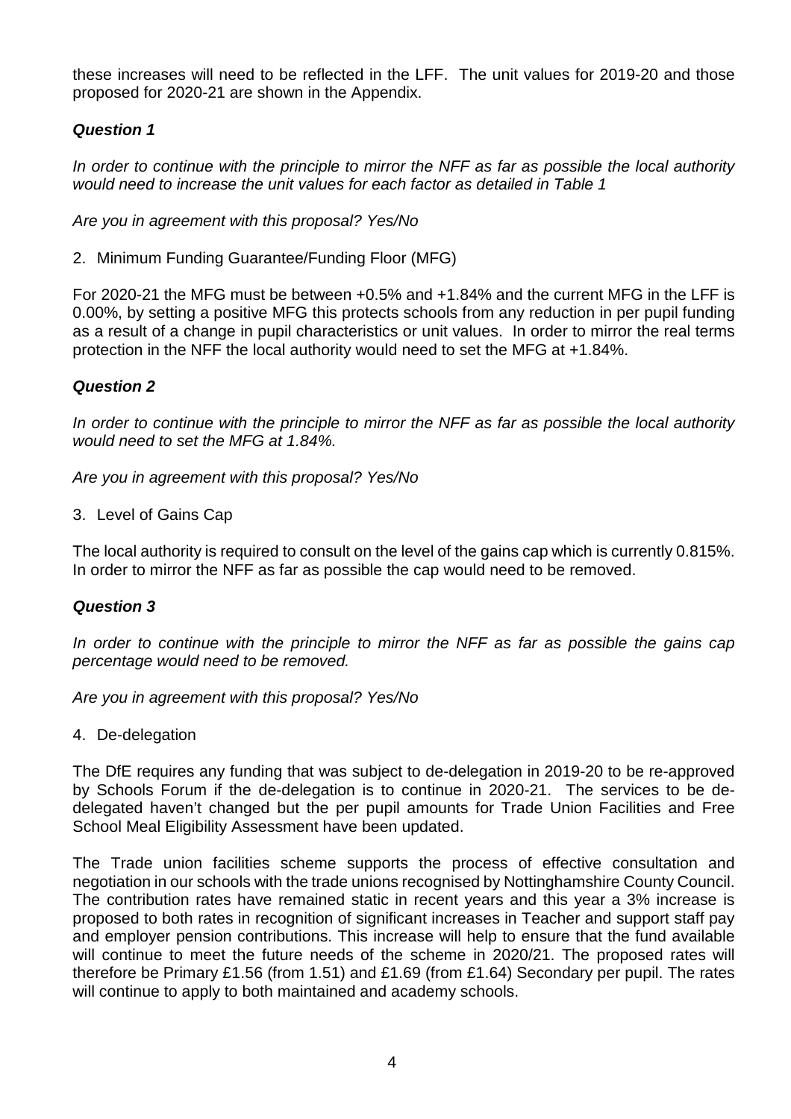these increases will need to be reflected in the LFF. The unit values for 2019-20 and those proposed for 2020-21 are shown in the Appendix.

## **Question 1**

In order to continue with the principle to mirror the NFF as far as possible the local authority would need to increase the unit values for each factor as detailed in Table 1

Are you in agreement with this proposal? Yes/No

2. Minimum Funding Guarantee/Funding Floor (MFG)

For 2020-21 the MFG must be between +0.5% and +1.84% and the current MFG in the LFF is 0.00%, by setting a positive MFG this protects schools from any reduction in per pupil funding as a result of a change in pupil characteristics or unit values. In order to mirror the real terms protection in the NFF the local authority would need to set the MFG at +1.84%.

#### **Question 2**

In order to continue with the principle to mirror the NFF as far as possible the local authority would need to set the MFG at 1.84%.

Are you in agreement with this proposal? Yes/No

3. Level of Gains Cap

The local authority is required to consult on the level of the gains cap which is currently 0.815%. In order to mirror the NFF as far as possible the cap would need to be removed.

#### **Question 3**

In order to continue with the principle to mirror the NFF as far as possible the gains cap percentage would need to be removed.

Are you in agreement with this proposal? Yes/No

4. De-delegation

The DfE requires any funding that was subject to de-delegation in 2019-20 to be re-approved by Schools Forum if the de-delegation is to continue in 2020-21. The services to be dedelegated haven't changed but the per pupil amounts for Trade Union Facilities and Free School Meal Eligibility Assessment have been updated.

The Trade union facilities scheme supports the process of effective consultation and negotiation in our schools with the trade unions recognised by Nottinghamshire County Council. The contribution rates have remained static in recent years and this year a 3% increase is proposed to both rates in recognition of significant increases in Teacher and support staff pay and employer pension contributions. This increase will help to ensure that the fund available will continue to meet the future needs of the scheme in 2020/21. The proposed rates will therefore be Primary £1.56 (from 1.51) and £1.69 (from £1.64) Secondary per pupil. The rates will continue to apply to both maintained and academy schools.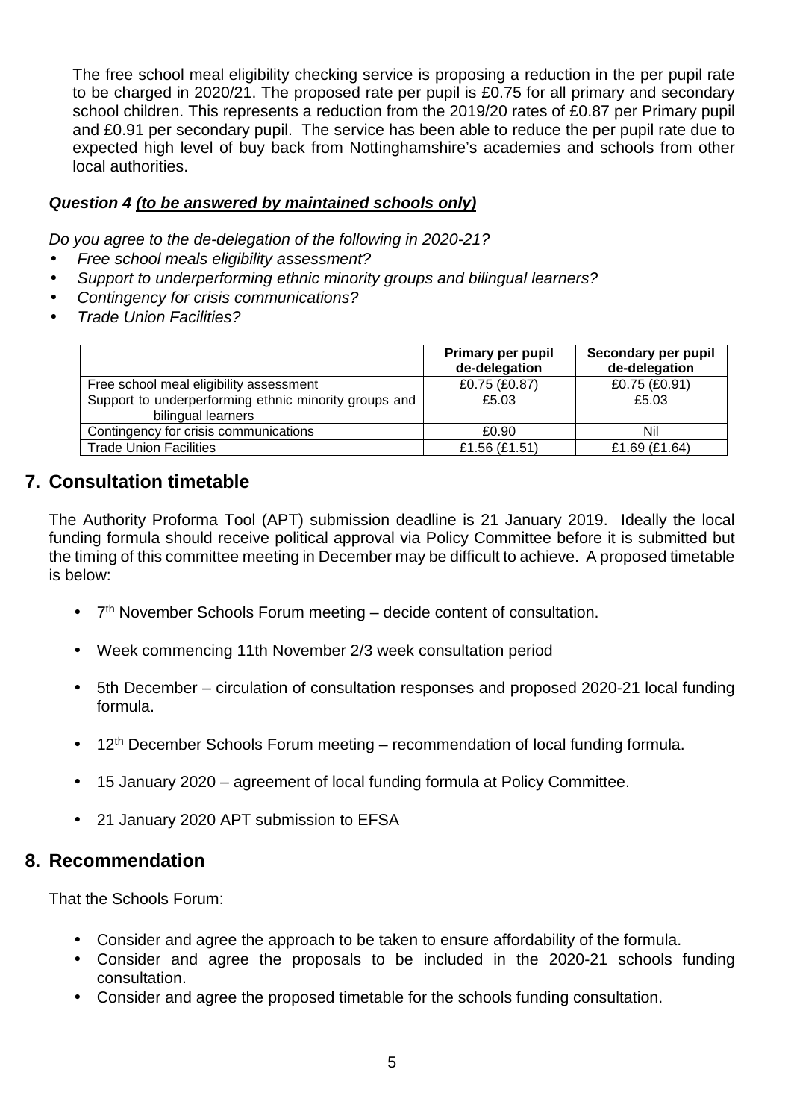The free school meal eligibility checking service is proposing a reduction in the per pupil rate to be charged in 2020/21. The proposed rate per pupil is £0.75 for all primary and secondary school children. This represents a reduction from the 2019/20 rates of £0.87 per Primary pupil and £0.91 per secondary pupil. The service has been able to reduce the per pupil rate due to expected high level of buy back from Nottinghamshire's academies and schools from other local authorities.

### **Question 4 (to be answered by maintained schools only)**

Do you agree to the de-delegation of the following in 2020-21?

- Free school meals eligibility assessment?
- Support to underperforming ethnic minority groups and bilingual learners?
- Contingency for crisis communications?
- Trade Union Facilities?

|                                                                             | Primary per pupil<br>de-delegation | Secondary per pupil<br>de-delegation |
|-----------------------------------------------------------------------------|------------------------------------|--------------------------------------|
| Free school meal eligibility assessment                                     | £0.75 (£0.87)                      | £0.75 (£0.91)                        |
| Support to underperforming ethnic minority groups and<br>bilingual learners | £5.03                              | £5.03                                |
| Contingency for crisis communications                                       | £0.90                              | Nil                                  |
| <b>Trade Union Facilities</b>                                               | £1.56 (£1.51)                      | £1.69 (£1.64)                        |

# **7. Consultation timetable**

The Authority Proforma Tool (APT) submission deadline is 21 January 2019. Ideally the local funding formula should receive political approval via Policy Committee before it is submitted but the timing of this committee meeting in December may be difficult to achieve. A proposed timetable is below:

- 7<sup>th</sup> November Schools Forum meeting decide content of consultation.
- Week commencing 11th November 2/3 week consultation period
- 5th December circulation of consultation responses and proposed 2020-21 local funding formula.
- 12<sup>th</sup> December Schools Forum meeting recommendation of local funding formula.
- 15 January 2020 agreement of local funding formula at Policy Committee.
- 21 January 2020 APT submission to EFSA

# **8. Recommendation**

That the Schools Forum:

- Consider and agree the approach to be taken to ensure affordability of the formula.
- Consider and agree the proposals to be included in the 2020-21 schools funding consultation.
- Consider and agree the proposed timetable for the schools funding consultation.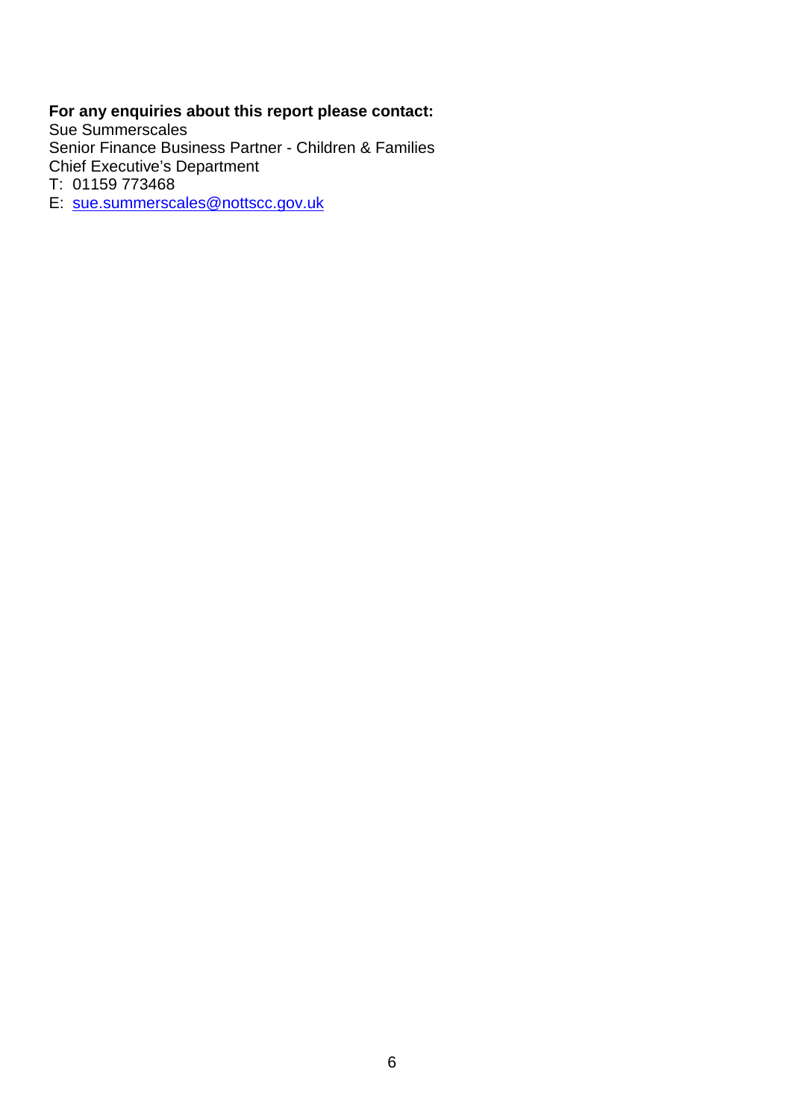### **For any enquiries about this report please contact:**

Sue Summerscales Senior Finance Business Partner - Children & Families Chief Executive's Department

T: 01159 773468

E: sue.summerscales@nottscc.gov.uk